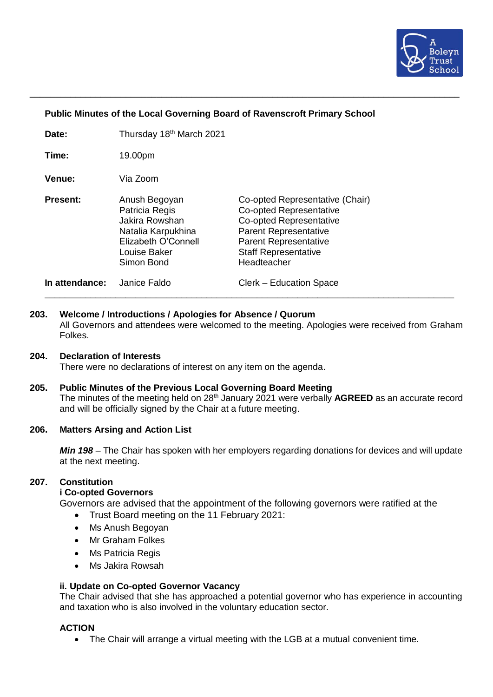

### **Public Minutes of the Local Governing Board of Ravenscroft Primary School**

\_\_\_\_\_\_\_\_\_\_\_\_\_\_\_\_\_\_\_\_\_\_\_\_\_\_\_\_\_\_\_\_\_\_\_\_\_\_\_\_\_\_\_\_\_\_\_\_\_\_\_\_\_\_\_\_\_\_\_\_\_\_\_\_\_\_\_\_\_\_\_\_\_\_\_\_\_\_\_\_\_\_\_\_\_

| Date: | Thursday 18 <sup>th</sup> March 2021 |
|-------|--------------------------------------|
|-------|--------------------------------------|

**Time:** 19.00pm

**Venue:** Via Zoom

**Present:** Anush Begoyan **Co-opted Representative (Chair)** Patricia Regis **Co-opted Representative** Jakira Rowshan Co-opted Representative Natalia Karpukhina Parent Representative Elizabeth O'Connell Parent Representative Louise Baker Staff Representative Simon Bond Headteacher **In attendance:** Janice Faldo Clerk – Education Space

**203. Welcome / Introductions / Apologies for Absence / Quorum**

All Governors and attendees were welcomed to the meeting. Apologies were received from Graham Folkes.

\_\_\_\_\_\_\_\_\_\_\_\_\_\_\_\_\_\_\_\_\_\_\_\_\_\_\_\_\_\_\_\_\_\_\_\_\_\_\_\_\_\_\_\_\_\_\_\_\_\_\_\_\_\_\_\_\_\_\_\_\_\_\_\_\_\_\_\_\_\_\_\_\_\_\_\_\_\_\_\_\_

### **204. Declaration of Interests**

There were no declarations of interest on any item on the agenda.

**205. Public Minutes of the Previous Local Governing Board Meeting** The minutes of the meeting held on 28<sup>th</sup> January 2021 were verbally **AGREED** as an accurate record and will be officially signed by the Chair at a future meeting.

### **206. Matters Arsing and Action List**

*Min 198* – The Chair has spoken with her employers regarding donations for devices and will update at the next meeting.

### **207. Constitution**

### **i Co-opted Governors**

Governors are advised that the appointment of the following governors were ratified at the

- Trust Board meeting on the 11 February 2021:
- Ms Anush Begoyan
- Mr Graham Folkes
- Ms Patricia Regis
- Ms Jakira Rowsah

### **ii. Update on Co-opted Governor Vacancy**

The Chair advised that she has approached a potential governor who has experience in accounting and taxation who is also involved in the voluntary education sector.

### **ACTION**

• The Chair will arrange a virtual meeting with the LGB at a mutual convenient time.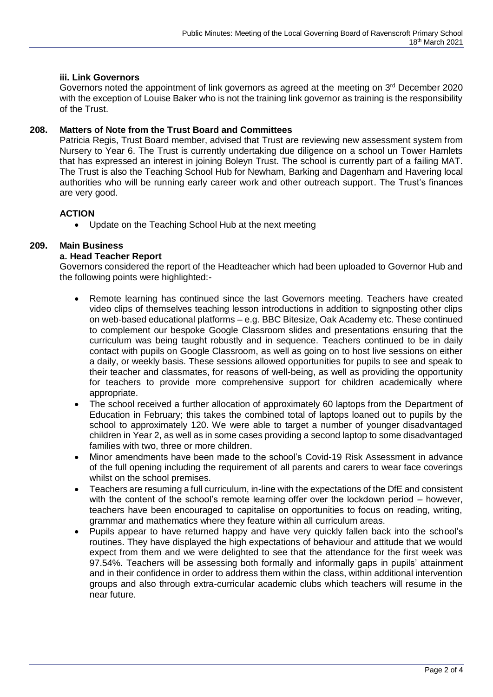## **iii. Link Governors**

Governors noted the appointment of link governors as agreed at the meeting on 3<sup>rd</sup> December 2020 with the exception of Louise Baker who is not the training link governor as training is the responsibility of the Trust.

### **208. Matters of Note from the Trust Board and Committees**

Patricia Regis, Trust Board member, advised that Trust are reviewing new assessment system from Nursery to Year 6. The Trust is currently undertaking due diligence on a school un Tower Hamlets that has expressed an interest in joining Boleyn Trust. The school is currently part of a failing MAT. The Trust is also the Teaching School Hub for Newham, Barking and Dagenham and Havering local authorities who will be running early career work and other outreach support. The Trust's finances are very good.

# **ACTION**

• Update on the Teaching School Hub at the next meeting

### **209. Main Business**

### **a. Head Teacher Report**

Governors considered the report of the Headteacher which had been uploaded to Governor Hub and the following points were highlighted:-

- Remote learning has continued since the last Governors meeting. Teachers have created video clips of themselves teaching lesson introductions in addition to signposting other clips on web-based educational platforms – e.g. BBC Bitesize, Oak Academy etc. These continued to complement our bespoke Google Classroom slides and presentations ensuring that the curriculum was being taught robustly and in sequence. Teachers continued to be in daily contact with pupils on Google Classroom, as well as going on to host live sessions on either a daily, or weekly basis. These sessions allowed opportunities for pupils to see and speak to their teacher and classmates, for reasons of well-being, as well as providing the opportunity for teachers to provide more comprehensive support for children academically where appropriate.
- The school received a further allocation of approximately 60 laptops from the Department of Education in February; this takes the combined total of laptops loaned out to pupils by the school to approximately 120. We were able to target a number of younger disadvantaged children in Year 2, as well as in some cases providing a second laptop to some disadvantaged families with two, three or more children.
- Minor amendments have been made to the school's Covid-19 Risk Assessment in advance of the full opening including the requirement of all parents and carers to wear face coverings whilst on the school premises.
- Teachers are resuming a full curriculum, in-line with the expectations of the DfE and consistent with the content of the school's remote learning offer over the lockdown period – however, teachers have been encouraged to capitalise on opportunities to focus on reading, writing, grammar and mathematics where they feature within all curriculum areas.
- Pupils appear to have returned happy and have very quickly fallen back into the school's routines. They have displayed the high expectations of behaviour and attitude that we would expect from them and we were delighted to see that the attendance for the first week was 97.54%. Teachers will be assessing both formally and informally gaps in pupils' attainment and in their confidence in order to address them within the class, within additional intervention groups and also through extra-curricular academic clubs which teachers will resume in the near future.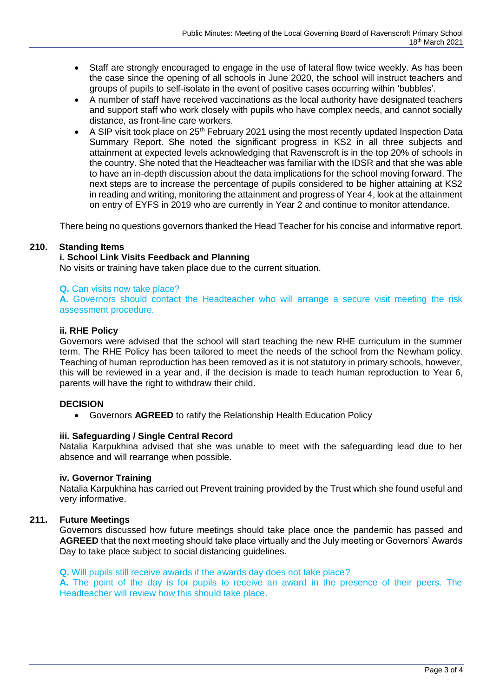- Staff are strongly encouraged to engage in the use of lateral flow twice weekly. As has been the case since the opening of all schools in June 2020, the school will instruct teachers and groups of pupils to self-isolate in the event of positive cases occurring within 'bubbles'.
- A number of staff have received vaccinations as the local authority have designated teachers and support staff who work closely with pupils who have complex needs, and cannot socially distance, as front-line care workers.
- A SIP visit took place on 25<sup>th</sup> February 2021 using the most recently updated Inspection Data Summary Report. She noted the significant progress in KS2 in all three subjects and attainment at expected levels acknowledging that Ravenscroft is in the top 20% of schools in the country. She noted that the Headteacher was familiar with the IDSR and that she was able to have an in-depth discussion about the data implications for the school moving forward. The next steps are to increase the percentage of pupils considered to be higher attaining at KS2 in reading and writing, monitoring the attainment and progress of Year 4, look at the attainment on entry of EYFS in 2019 who are currently in Year 2 and continue to monitor attendance.

There being no questions governors thanked the Head Teacher for his concise and informative report.

### **210. Standing Items**

### **i. School Link Visits Feedback and Planning**

No visits or training have taken place due to the current situation.

### **Q.** Can visits now take place?

**A.** Governors should contact the Headteacher who will arrange a secure visit meeting the risk assessment procedure.

### **ii. RHE Policy**

Governors were advised that the school will start teaching the new RHE curriculum in the summer term. The RHE Policy has been tailored to meet the needs of the school from the Newham policy. Teaching of human reproduction has been removed as it is not statutory in primary schools, however, this will be reviewed in a year and, if the decision is made to teach human reproduction to Year 6, parents will have the right to withdraw their child.

### **DECISION**

• Governors **AGREED** to ratify the Relationship Health Education Policy

### **iii. Safeguarding / Single Central Record**

Natalia Karpukhina advised that she was unable to meet with the safeguarding lead due to her absence and will rearrange when possible.

### **iv. Governor Training**

Natalia Karpukhina has carried out Prevent training provided by the Trust which she found useful and very informative.

### **211. Future Meetings**

Governors discussed how future meetings should take place once the pandemic has passed and **AGREED** that the next meeting should take place virtually and the July meeting or Governors' Awards Day to take place subject to social distancing quidelines.

### **Q.** Will pupils still receive awards if the awards day does not take place?

**A.** The point of the day is for pupils to receive an award in the presence of their peers. The Headteacher will review how this should take place.